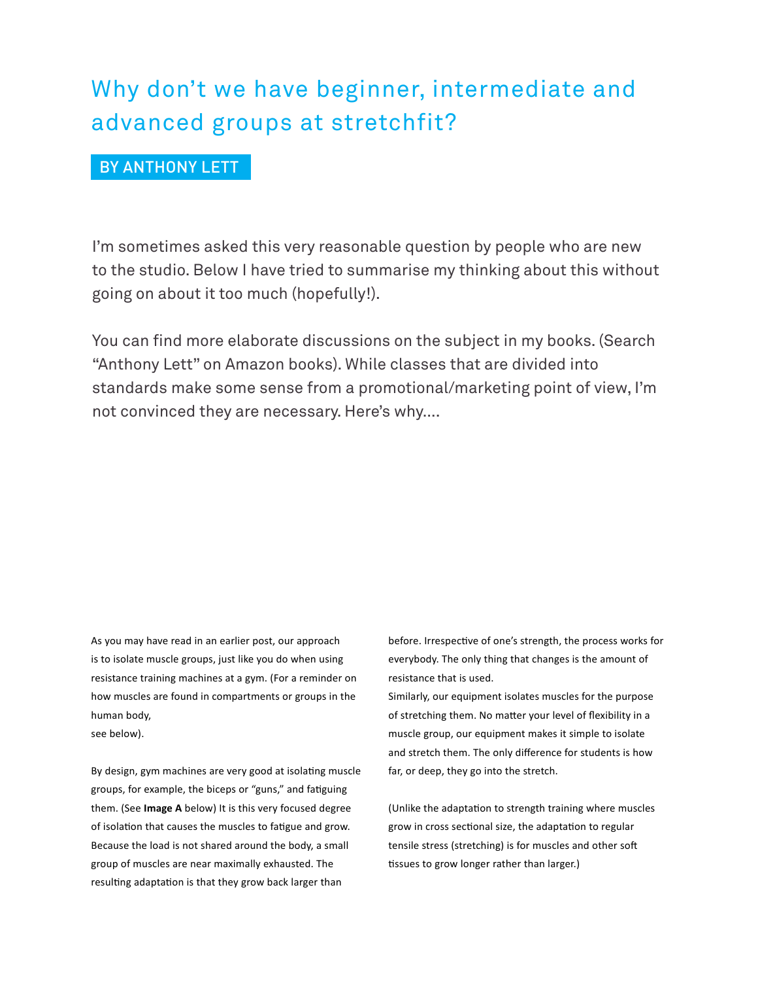# Why don't we have beginner, intermediate and advanced groups at stretchfit?

# BY ANTHONY LETT

I'm sometimes asked this very reasonable question by people who are new to the studio. Below I have tried to summarise my thinking about this without going on about it too much (hopefully!).

You can find more elaborate discussions on the subject in my books. (Search "Anthony Lett" on Amazon books). While classes that are divided into standards make some sense from a promotional/marketing point of view, I'm not convinced they are necessary. Here's why….

As you may have read in an earlier post, our approach is to isolate muscle groups, just like you do when using resistance training machines at a gym. (For a reminder on how muscles are found in compartments or groups in the human body,

see below).

By design, gym machines are very good at isolating muscle groups, for example, the biceps or "guns," and fatiguing them. (See **Image A** below) It is this very focused degree of isolation that causes the muscles to fatigue and grow. Because the load is not shared around the body, a small group of muscles are near maximally exhausted. The resulting adaptation is that they grow back larger than

before. Irrespective of one's strength, the process works for everybody. The only thing that changes is the amount of resistance that is used.

Similarly, our equipment isolates muscles for the purpose of stretching them. No matter your level of flexibility in a muscle group, our equipment makes it simple to isolate and stretch them. The only difference for students is how far, or deep, they go into the stretch.

(Unlike the adaptation to strength training where muscles grow in cross sectional size, the adaptation to regular tensile stress (stretching) is for muscles and other soft tissues to grow longer rather than larger.)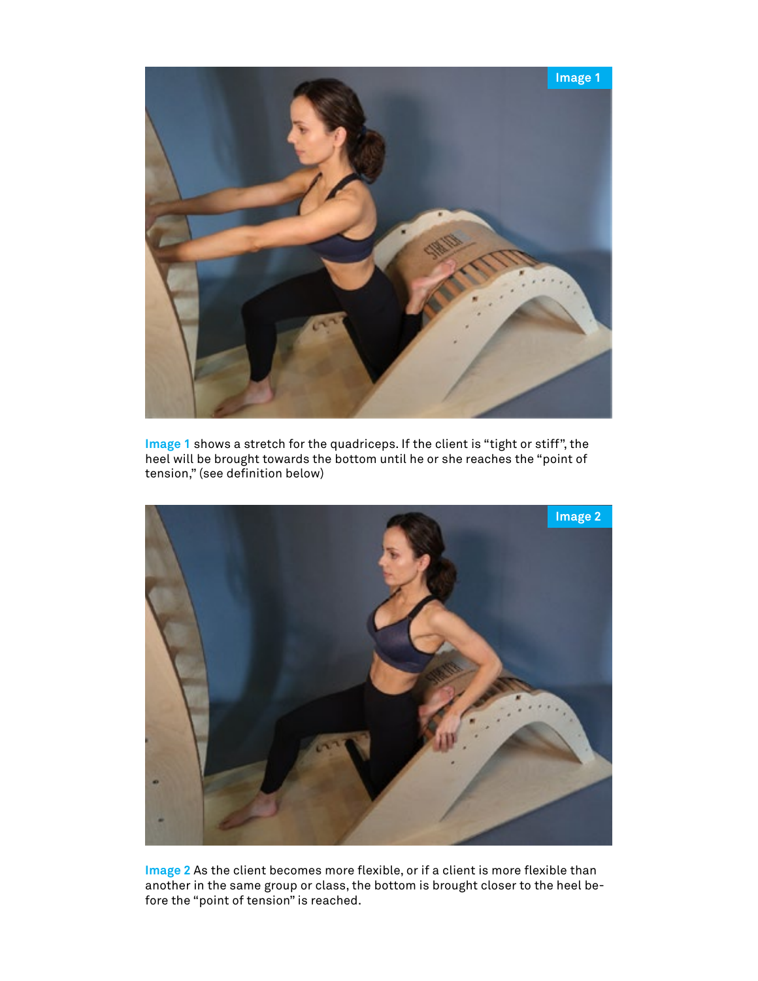

**Image 1** shows a stretch for the quadriceps. If the client is "tight or stiff", the heel will be brought towards the bottom until he or she reaches the "point of tension," (see definition below)



**Image 2** As the client becomes more flexible, or if a client is more flexible than another in the same group or class, the bottom is brought closer to the heel before the "point of tension" is reached.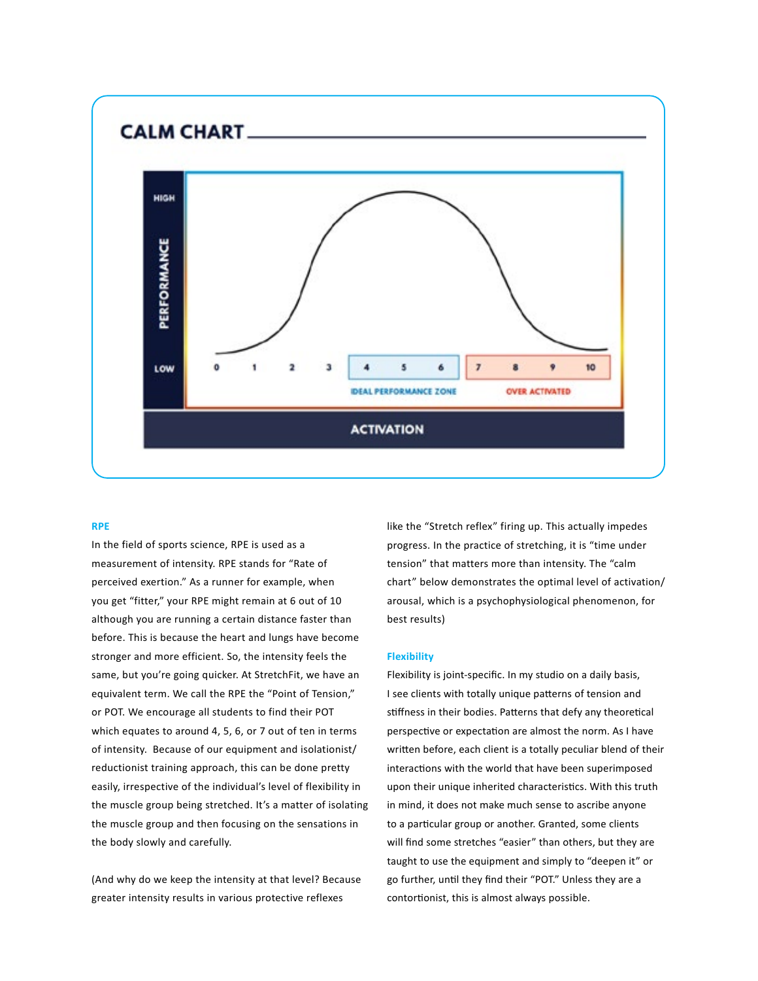

# **RPE**

In the field of sports science, RPE is used as a measurement of intensity. RPE stands for "Rate of perceived exertion." As a runner for example, when you get "fitter," your RPE might remain at 6 out of 10 although you are running a certain distance faster than before. This is because the heart and lungs have become stronger and more efficient. So, the intensity feels the same, but you're going quicker. At StretchFit, we have an equivalent term. We call the RPE the "Point of Tension," or POT. We encourage all students to find their POT which equates to around 4, 5, 6, or 7 out of ten in terms of intensity. Because of our equipment and isolationist/ reductionist training approach, this can be done pretty easily, irrespective of the individual's level of flexibility in the muscle group being stretched. It's a matter of isolating the muscle group and then focusing on the sensations in the body slowly and carefully.

(And why do we keep the intensity at that level? Because greater intensity results in various protective reflexes

like the "Stretch reflex" firing up. This actually impedes progress. In the practice of stretching, it is "time under tension" that matters more than intensity. The "calm chart" below demonstrates the optimal level of activation/ arousal, which is a psychophysiological phenomenon, for best results)

#### **Flexibility**

Flexibility is joint-specific. In my studio on a daily basis, I see clients with totally unique patterns of tension and stiffness in their bodies. Patterns that defy any theoretical perspective or expectation are almost the norm. As I have written before, each client is a totally peculiar blend of their interactions with the world that have been superimposed upon their unique inherited characteristics. With this truth in mind, it does not make much sense to ascribe anyone to a particular group or another. Granted, some clients will find some stretches "easier" than others, but they are taught to use the equipment and simply to "deepen it" or go further, until they find their "POT." Unless they are a contortionist, this is almost always possible.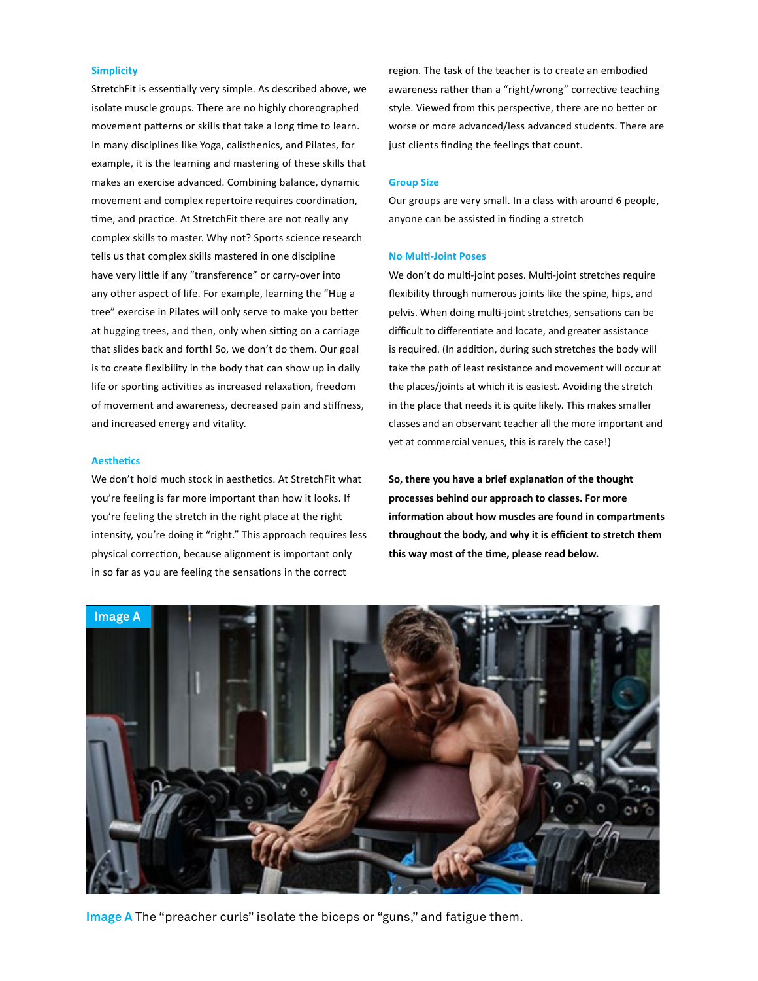## **Simplicity**

StretchFit is essentially very simple. As described above, we isolate muscle groups. There are no highly choreographed movement patterns or skills that take a long time to learn. In many disciplines like Yoga, calisthenics, and Pilates, for example, it is the learning and mastering of these skills that makes an exercise advanced. Combining balance, dynamic movement and complex repertoire requires coordination, time, and practice. At StretchFit there are not really any complex skills to master. Why not? Sports science research tells us that complex skills mastered in one discipline have very little if any "transference" or carry-over into any other aspect of life. For example, learning the "Hug a tree" exercise in Pilates will only serve to make you better at hugging trees, and then, only when sitting on a carriage that slides back and forth! So, we don't do them. Our goal is to create flexibility in the body that can show up in daily life or sporting activities as increased relaxation, freedom of movement and awareness, decreased pain and stiffness, and increased energy and vitality.

### **Aesthetics**

We don't hold much stock in aesthetics. At StretchFit what you're feeling is far more important than how it looks. If you're feeling the stretch in the right place at the right intensity, you're doing it "right." This approach requires less physical correction, because alignment is important only in so far as you are feeling the sensations in the correct

region. The task of the teacher is to create an embodied awareness rather than a "right/wrong" corrective teaching style. Viewed from this perspective, there are no better or worse or more advanced/less advanced students. There are just clients finding the feelings that count.

### **Group Size**

Our groups are very small. In a class with around 6 people, anyone can be assisted in finding a stretch

#### **No Multi-Joint Poses**

We don't do multi-joint poses. Multi-joint stretches require flexibility through numerous joints like the spine, hips, and pelvis. When doing multi-joint stretches, sensations can be difficult to differentiate and locate, and greater assistance is required. (In addition, during such stretches the body will take the path of least resistance and movement will occur at the places/joints at which it is easiest. Avoiding the stretch in the place that needs it is quite likely. This makes smaller classes and an observant teacher all the more important and yet at commercial venues, this is rarely the case!)

**So, there you have a brief explanation of the thought processes behind our approach to classes. For more information about how muscles are found in compartments throughout the body, and why it is efficient to stretch them this way most of the time, please read below.**



**Image A** The "preacher curls" isolate the biceps or "guns," and fatigue them.